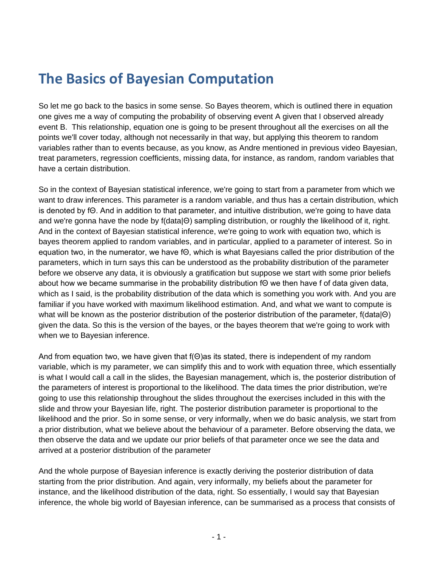## **The Basics of Bayesian Computation**

So let me go back to the basics in some sense. So Bayes theorem, which is outlined there in equation one gives me a way of computing the probability of observing event A given that I observed already event B. This relationship, equation one is going to be present throughout all the exercises on all the points we'll cover today, although not necessarily in that way, but applying this theorem to random variables rather than to events because, as you know, as Andre mentioned in previous video Bayesian, treat parameters, regression coefficients, missing data, for instance, as random, random variables that have a certain distribution.

So in the context of Bayesian statistical inference, we're going to start from a parameter from which we want to draw inferences. This parameter is a random variable, and thus has a certain distribution, which is denoted by fΘ. And in addition to that parameter, and intuitive distribution, we're going to have data and we're gonna have the node by f(data|Θ) sampling distribution, or roughly the likelihood of it, right. And in the context of Bayesian statistical inference, we're going to work with equation two, which is bayes theorem applied to random variables, and in particular, applied to a parameter of interest. So in equation two, in the numerator, we have fΘ, which is what Bayesians called the prior distribution of the parameters, which in turn says this can be understood as the probability distribution of the parameter before we observe any data, it is obviously a gratification but suppose we start with some prior beliefs about how we became summarise in the probability distribution fΘ we then have f of data given data, which as I said, is the probability distribution of the data which is something you work with. And you are familiar if you have worked with maximum likelihood estimation. And, and what we want to compute is what will be known as the posterior distribution of the posterior distribution of the parameter, f(data|Θ) given the data. So this is the version of the bayes, or the bayes theorem that we're going to work with when we to Bayesian inference.

And from equation two, we have given that f(Θ)as its stated, there is independent of my random variable, which is my parameter, we can simplify this and to work with equation three, which essentially is what I would call a call in the slides, the Bayesian management, which is, the posterior distribution of the parameters of interest is proportional to the likelihood. The data times the prior distribution, we're going to use this relationship throughout the slides throughout the exercises included in this with the slide and throw your Bayesian life, right. The posterior distribution parameter is proportional to the likelihood and the prior. So in some sense, or very informally, when we do basic analysis, we start from a prior distribution, what we believe about the behaviour of a parameter. Before observing the data, we then observe the data and we update our prior beliefs of that parameter once we see the data and arrived at a posterior distribution of the parameter

And the whole purpose of Bayesian inference is exactly deriving the posterior distribution of data starting from the prior distribution. And again, very informally, my beliefs about the parameter for instance, and the likelihood distribution of the data, right. So essentially, I would say that Bayesian inference, the whole big world of Bayesian inference, can be summarised as a process that consists of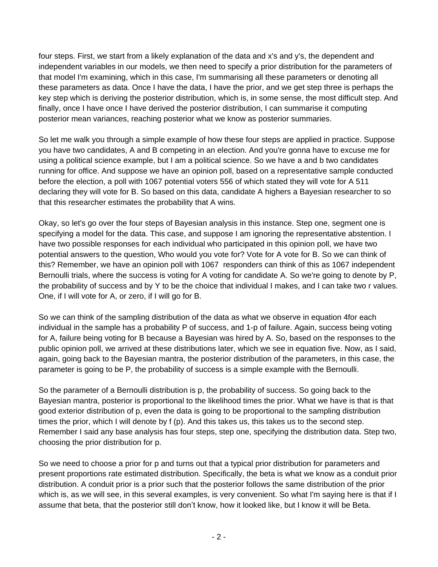four steps. First, we start from a likely explanation of the data and x's and y's, the dependent and independent variables in our models, we then need to specify a prior distribution for the parameters of that model I'm examining, which in this case, I'm summarising all these parameters or denoting all these parameters as data. Once I have the data, I have the prior, and we get step three is perhaps the key step which is deriving the posterior distribution, which is, in some sense, the most difficult step. And finally, once I have once I have derived the posterior distribution, I can summarise it computing posterior mean variances, reaching posterior what we know as posterior summaries.

So let me walk you through a simple example of how these four steps are applied in practice. Suppose you have two candidates, A and B competing in an election. And you're gonna have to excuse me for using a political science example, but I am a political science. So we have a and b two candidates running for office. And suppose we have an opinion poll, based on a representative sample conducted before the election, a poll with 1067 potential voters 556 of which stated they will vote for A 511 declaring they will vote for B. So based on this data, candidate A highers a Bayesian researcher to so that this researcher estimates the probability that A wins.

Okay, so let's go over the four steps of Bayesian analysis in this instance. Step one, segment one is specifying a model for the data. This case, and suppose I am ignoring the representative abstention. I have two possible responses for each individual who participated in this opinion poll, we have two potential answers to the question, Who would you vote for? Vote for A vote for B. So we can think of this? Remember, we have an opinion poll with 1067 responders can think of this as 1067 independent Bernoulli trials, where the success is voting for A voting for candidate A. So we're going to denote by P, the probability of success and by Y to be the choice that individual I makes, and I can take two r values. One, if I will vote for A, or zero, if I will go for B.

So we can think of the sampling distribution of the data as what we observe in equation 4for each individual in the sample has a probability P of success, and 1-p of failure. Again, success being voting for A, failure being voting for B because a Bayesian was hired by A. So, based on the responses to the public opinion poll, we arrived at these distributions later, which we see in equation five. Now, as I said, again, going back to the Bayesian mantra, the posterior distribution of the parameters, in this case, the parameter is going to be P, the probability of success is a simple example with the Bernoulli.

So the parameter of a Bernoulli distribution is p, the probability of success. So going back to the Bayesian mantra, posterior is proportional to the likelihood times the prior. What we have is that is that good exterior distribution of p, even the data is going to be proportional to the sampling distribution times the prior, which I will denote by f (p). And this takes us, this takes us to the second step. Remember I said any base analysis has four steps, step one, specifying the distribution data. Step two, choosing the prior distribution for p.

So we need to choose a prior for p and turns out that a typical prior distribution for parameters and present proportions rate estimated distribution. Specifically, the beta is what we know as a conduit prior distribution. A conduit prior is a prior such that the posterior follows the same distribution of the prior which is, as we will see, in this several examples, is very convenient. So what I'm saying here is that if I assume that beta, that the posterior still don't know, how it looked like, but I know it will be Beta.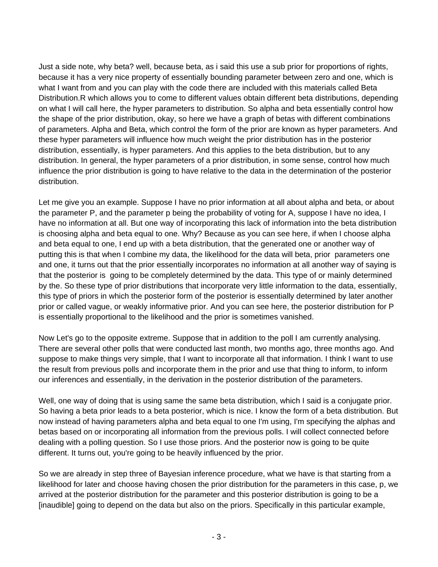Just a side note, why beta? well, because beta, as i said this use a sub prior for proportions of rights, because it has a very nice property of essentially bounding parameter between zero and one, which is what I want from and you can play with the code there are included with this materials called Beta Distribution.R which allows you to come to different values obtain different beta distributions, depending on what I will call here, the hyper parameters to distribution. So alpha and beta essentially control how the shape of the prior distribution, okay, so here we have a graph of betas with different combinations of parameters. Alpha and Beta, which control the form of the prior are known as hyper parameters. And these hyper parameters will influence how much weight the prior distribution has in the posterior distribution, essentially, is hyper parameters. And this applies to the beta distribution, but to any distribution. In general, the hyper parameters of a prior distribution, in some sense, control how much influence the prior distribution is going to have relative to the data in the determination of the posterior distribution.

Let me give you an example. Suppose I have no prior information at all about alpha and beta, or about the parameter P, and the parameter p being the probability of voting for A, suppose I have no idea, I have no information at all. But one way of incorporating this lack of information into the beta distribution is choosing alpha and beta equal to one. Why? Because as you can see here, if when I choose alpha and beta equal to one, I end up with a beta distribution, that the generated one or another way of putting this is that when I combine my data, the likelihood for the data will beta, prior parameters one and one, it turns out that the prior essentially incorporates no information at all another way of saying is that the posterior is going to be completely determined by the data. This type of or mainly determined by the. So these type of prior distributions that incorporate very little information to the data, essentially, this type of priors in which the posterior form of the posterior is essentially determined by later another prior or called vague, or weakly informative prior. And you can see here, the posterior distribution for P is essentially proportional to the likelihood and the prior is sometimes vanished.

Now Let's go to the opposite extreme. Suppose that in addition to the poll I am currently analysing. There are several other polls that were conducted last month, two months ago, three months ago. And suppose to make things very simple, that I want to incorporate all that information. I think I want to use the result from previous polls and incorporate them in the prior and use that thing to inform, to inform our inferences and essentially, in the derivation in the posterior distribution of the parameters.

Well, one way of doing that is using same the same beta distribution, which I said is a conjugate prior. So having a beta prior leads to a beta posterior, which is nice. I know the form of a beta distribution. But now instead of having parameters alpha and beta equal to one I'm using, I'm specifying the alphas and betas based on or incorporating all information from the previous polls. I will collect connected before dealing with a polling question. So I use those priors. And the posterior now is going to be quite different. It turns out, you're going to be heavily influenced by the prior.

So we are already in step three of Bayesian inference procedure, what we have is that starting from a likelihood for later and choose having chosen the prior distribution for the parameters in this case, p, we arrived at the posterior distribution for the parameter and this posterior distribution is going to be a [inaudible] going to depend on the data but also on the priors. Specifically in this particular example,